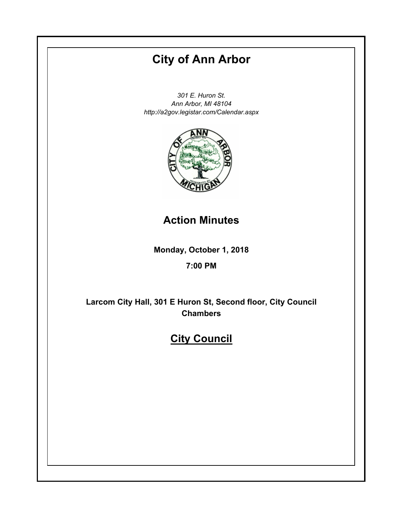# **City of Ann Arbor**

*301 E. Huron St. Ann Arbor, MI 48104 http://a2gov.legistar.com/Calendar.aspx*



# **Action Minutes**

**Monday, October 1, 2018**

# **7:00 PM**

**Larcom City Hall, 301 E Huron St, Second floor, City Council Chambers**

# **City Council**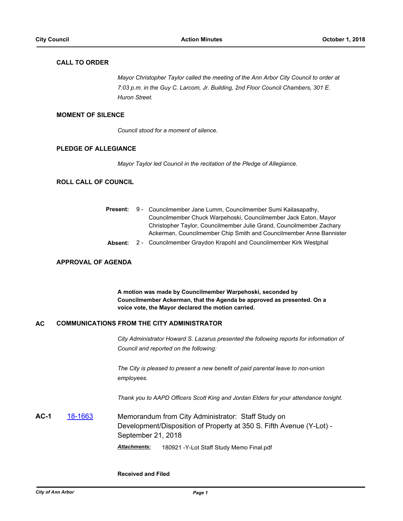# **CALL TO ORDER**

*Mayor Christopher Taylor called the meeting of the Ann Arbor City Council to order at 7:03 p.m. in the Guy C. Larcom, Jr. Building, 2nd Floor Council Chambers, 301 E. Huron Street.*

#### **MOMENT OF SILENCE**

*Council stood for a moment of silence.*

# **PLEDGE OF ALLEGIANCE**

*Mayor Taylor led Council in the recitation of the Pledge of Allegiance.*

#### **ROLL CALL OF COUNCIL**

|  | Present: 9 - Councilmember Jane Lumm, Councilmember Sumi Kailasapathy, |  |
|--|------------------------------------------------------------------------|--|
|  | Councilmember Chuck Warpehoski, Councilmember Jack Eaton, Mayor        |  |
|  | Christopher Taylor, Councilmember Julie Grand, Councilmember Zachary   |  |
|  | Ackerman, Councilmember Chip Smith and Councilmember Anne Bannister    |  |
|  |                                                                        |  |

**Absent:** 2 - Councilmember Graydon Krapohl and Councilmember Kirk Westphal

#### **APPROVAL OF AGENDA**

**A motion was made by Councilmember Warpehoski, seconded by Councilmember Ackerman, that the Agenda be approved as presented. On a voice vote, the Mayor declared the motion carried.**

#### **AC COMMUNICATIONS FROM THE CITY ADMINISTRATOR**

*City Administrator Howard S. Lazarus presented the following reports for information of Council and reported on the following:*

*The City is pleased to present a new benefit of paid parental leave to non-union employees.* 

*Thank you to AAPD Officers Scott King and Jordan Elders for your attendance tonight.*

**AC-1** [18-1663](http://a2gov.legistar.com/gateway.aspx/matter.aspx?key=21221) Memorandum from City Administrator: Staff Study on Development/Disposition of Property at 350 S. Fifth Avenue (Y-Lot) - September 21, 2018 *Attachments:* 180921 -Y-Lot Staff Study Memo Final.pdf

**Received and Filed**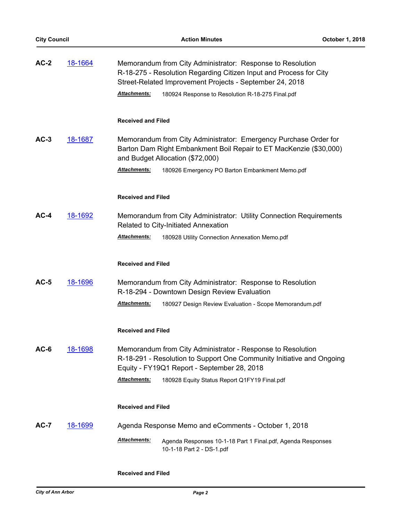| $AC-2$ | 18-1664        | Memorandum from City Administrator: Response to Resolution<br>R-18-275 - Resolution Regarding Citizen Input and Process for City<br>Street-Related Improvement Projects - September 24, 2018<br><b>Attachments:</b><br>180924 Response to Resolution R-18-275 Final.pdf |
|--------|----------------|-------------------------------------------------------------------------------------------------------------------------------------------------------------------------------------------------------------------------------------------------------------------------|
|        |                | <b>Received and Filed</b>                                                                                                                                                                                                                                               |
| $AC-3$ | 18-1687        | Memorandum from City Administrator: Emergency Purchase Order for<br>Barton Dam Right Embankment Boil Repair to ET MacKenzie (\$30,000)<br>and Budget Allocation (\$72,000)                                                                                              |
|        |                | Attachments:<br>180926 Emergency PO Barton Embankment Memo.pdf                                                                                                                                                                                                          |
|        |                | <b>Received and Filed</b>                                                                                                                                                                                                                                               |
| $AC-4$ | 18-1692        | Memorandum from City Administrator: Utility Connection Requirements<br>Related to City-Initiated Annexation                                                                                                                                                             |
|        |                | Attachments:<br>180928 Utility Connection Annexation Memo.pdf                                                                                                                                                                                                           |
|        |                | <b>Received and Filed</b>                                                                                                                                                                                                                                               |
| $AC-5$ | 18-1696        | Memorandum from City Administrator: Response to Resolution<br>R-18-294 - Downtown Design Review Evaluation                                                                                                                                                              |
|        |                | Attachments:<br>180927 Design Review Evaluation - Scope Memorandum.pdf                                                                                                                                                                                                  |
|        |                | <b>Received and Filed</b>                                                                                                                                                                                                                                               |
| AC-6   | <u>18-1698</u> | Memorandum from City Administrator - Response to Resolution<br>R-18-291 - Resolution to Support One Community Initiative and Ongoing<br>Equity - FY19Q1 Report - September 28, 2018                                                                                     |
|        |                | <b>Attachments:</b><br>180928 Equity Status Report Q1FY19 Final.pdf                                                                                                                                                                                                     |
|        |                | <b>Received and Filed</b>                                                                                                                                                                                                                                               |
| $AC-7$ | <u>18-1699</u> | Agenda Response Memo and eComments - October 1, 2018                                                                                                                                                                                                                    |
|        |                | Attachments:<br>Agenda Responses 10-1-18 Part 1 Final.pdf, Agenda Responses<br>10-1-18 Part 2 - DS-1.pdf                                                                                                                                                                |

# **Received and Filed**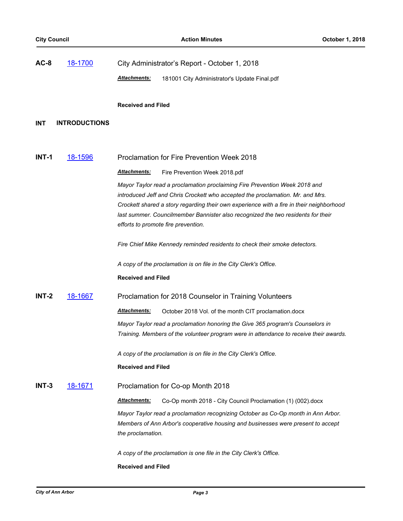| $AC-8$     | 18-1700              | City Administrator's Report - October 1, 2018                                                                                                                              |
|------------|----------------------|----------------------------------------------------------------------------------------------------------------------------------------------------------------------------|
|            |                      | <b>Attachments:</b><br>181001 City Administrator's Update Final.pdf                                                                                                        |
|            |                      |                                                                                                                                                                            |
|            |                      | <b>Received and Filed</b>                                                                                                                                                  |
| <b>INT</b> | <b>INTRODUCTIONS</b> |                                                                                                                                                                            |
|            |                      |                                                                                                                                                                            |
| INT-1      | 18-1596              | <b>Proclamation for Fire Prevention Week 2018</b>                                                                                                                          |
|            |                      | <u>Attachments:</u><br>Fire Prevention Week 2018.pdf                                                                                                                       |
|            |                      | Mayor Taylor read a proclamation proclaiming Fire Prevention Week 2018 and                                                                                                 |
|            |                      | introduced Jeff and Chris Crockett who accepted the proclamation. Mr. and Mrs.<br>Crockett shared a story regarding their own experience with a fire in their neighborhood |
|            |                      | last summer. Councilmember Bannister also recognized the two residents for their                                                                                           |
|            |                      | efforts to promote fire prevention.                                                                                                                                        |
|            |                      | Fire Chief Mike Kennedy reminded residents to check their smoke detectors.                                                                                                 |
|            |                      | A copy of the proclamation is on file in the City Clerk's Office.                                                                                                          |
|            |                      | <b>Received and Filed</b>                                                                                                                                                  |
| INT-2      | <u>18-1667</u>       | Proclamation for 2018 Counselor in Training Volunteers                                                                                                                     |
|            |                      | Attachments:<br>October 2018 Vol. of the month CIT proclamation.docx                                                                                                       |
|            |                      | Mayor Taylor read a proclamation honoring the Give 365 program's Counselors in                                                                                             |
|            |                      | Training. Members of the volunteer program were in attendance to receive their awards.                                                                                     |
|            |                      | A copy of the proclamation is on file in the City Clerk's Office.                                                                                                          |
|            |                      | <b>Received and Filed</b>                                                                                                                                                  |
| $INT-3$    | <u>18-1671</u>       | Proclamation for Co-op Month 2018                                                                                                                                          |
|            |                      | Attachments:<br>Co-Op month 2018 - City Council Proclamation (1) (002).docx                                                                                                |
|            |                      | Mayor Taylor read a proclamation recognizing October as Co-Op month in Ann Arbor.                                                                                          |
|            |                      | Members of Ann Arbor's cooperative housing and businesses were present to accept<br>the proclamation.                                                                      |
|            |                      |                                                                                                                                                                            |
|            |                      | A copy of the proclamation is one file in the City Clerk's Office.                                                                                                         |
|            |                      | <b>Received and Filed</b>                                                                                                                                                  |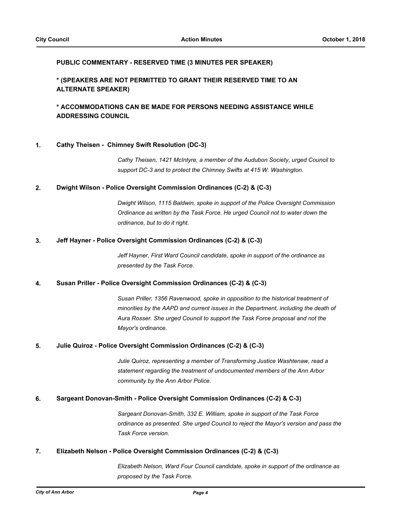# **PUBLIC COMMENTARY - RESERVED TIME (3 MINUTES PER SPEAKER)**

# **\* (SPEAKERS ARE NOT PERMITTED TO GRANT THEIR RESERVED TIME TO AN ALTERNATE SPEAKER)**

# **\* ACCOMMODATIONS CAN BE MADE FOR PERSONS NEEDING ASSISTANCE WHILE ADDRESSING COUNCIL**

#### **1. Cathy Theisen - Chimney Swift Resolution (DC-3)**

*Cathy Theisen, 1421 McIntyre, a member of the Audubon Society, urged Council to support DC-3 and to protect the Chimney Swifts at 415 W. Washington.*

## **2. Dwight Wilson - Police Oversight Commission Ordinances (C-2) & (C-3)**

*Dwight Wilson, 1115 Baldwin, spoke in support of the Police Oversight Commission Ordinance as written by the Task Force. He urged Council not to water down the ordinance, but to do it right.*

#### **3. Jeff Hayner - Police Oversight Commission Ordinances (C-2) & (C-3)**

*Jeff Hayner, First Ward Council candidate, spoke in support of the ordinance as presented by the Task Force.*

#### **4. Susan Priller - Police Oversight Commission Ordinances (C-2) & (C-3)**

*Susan Priller, 1356 Ravenwood, spoke in opposition to the historical treatment of minorities by the AAPD and current issues in the Department, including the death of Aura Rosser. She urged Council to support the Task Force proposal and not the Mayor's ordinance.*

#### **5. Julie Quiroz - Police Oversight Commission Ordinances (C-2) & (C-3)**

*Julie Quiroz, representing a member of Transforming Justice Washtenaw, read a statement regarding the treatment of undocumented members of the Ann Arbor community by the Ann Arbor Police.*

#### **6. Sargeant Donovan-Smith - Police Oversight Commission Ordinances (C-2) & C-3)**

*Sargeant Donovan-Smith, 332 E. William, spoke in support of the Task Force ordinance as presented. She urged Council to reject the Mayor's version and pass the Task Force version.*

# **7. Elizabeth Nelson - Police Oversight Commission Ordinances (C-2) & (C-3)**

*Elizabeth Nelson, Ward Four Council candidate, spoke in support of the ordinance as proposed by the Task Force.*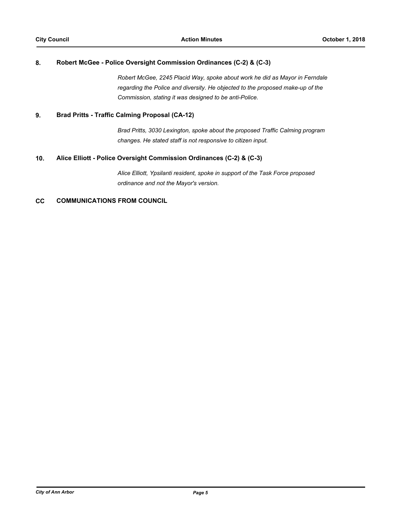## **8. Robert McGee - Police Oversight Commission Ordinances (C-2) & (C-3)**

*Robert McGee, 2245 Placid Way, spoke about work he did as Mayor in Ferndale regarding the Police and diversity. He objected to the proposed make-up of the Commission, stating it was designed to be anti-Police.*

## **9. Brad Pritts - Traffic Calming Proposal (CA-12)**

*Brad Pritts, 3030 Lexington, spoke about the proposed Traffic Calming program changes. He stated staff is not responsive to citizen input.*

#### **10. Alice Elliott - Police Oversight Commission Ordinances (C-2) & (C-3)**

*Alice Elliott, Ypsilanti resident, spoke in support of the Task Force proposed ordinance and not the Mayor's version.*

# **CC COMMUNICATIONS FROM COUNCIL**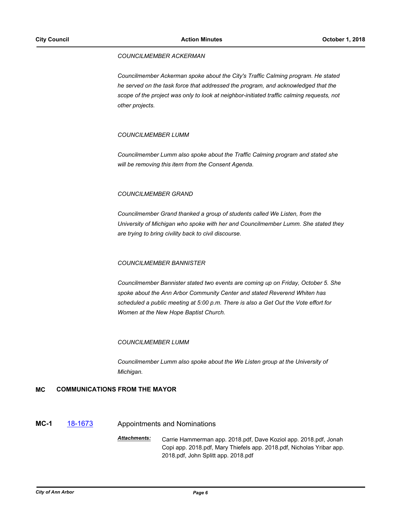#### *COUNCILMEMBER ACKERMAN*

*Councilmember Ackerman spoke about the City's Traffic Calming program. He stated he served on the task force that addressed the program, and acknowledged that the scope of the project was only to look at neighbor-initiated traffic calming requests, not other projects.*

#### *COUNCILMEMBER LUMM*

*Councilmember Lumm also spoke about the Traffic Calming program and stated she will be removing this item from the Consent Agenda.*

#### *COUNCILMEMBER GRAND*

*Councilmember Grand thanked a group of students called We Listen, from the University of Michigan who spoke with her and Councilmember Lumm. She stated they are trying to bring civility back to civil discourse.*

#### *COUNCILMEMBER BANNISTER*

*Councilmember Bannister stated two events are coming up on Friday, October 5. She spoke about the Ann Arbor Community Center and stated Reverend Whiten has scheduled a public meeting at 5:00 p.m. There is also a Get Out the Vote effort for Women at the New Hope Baptist Church.*

#### *COUNCILMEMBER LUMM*

*Councilmember Lumm also spoke about the We Listen group at the University of Michigan.*

#### **MC COMMUNICATIONS FROM THE MAYOR**

# **MC-1** [18-1673](http://a2gov.legistar.com/gateway.aspx/matter.aspx?key=21231) Appointments and Nominations

*Attachments:* Carrie Hammerman app. 2018.pdf, Dave Koziol app. 2018.pdf, Jonah Copi app. 2018.pdf, Mary Thiefels app. 2018.pdf, Nicholas Yribar app. 2018.pdf, John Splitt app. 2018.pdf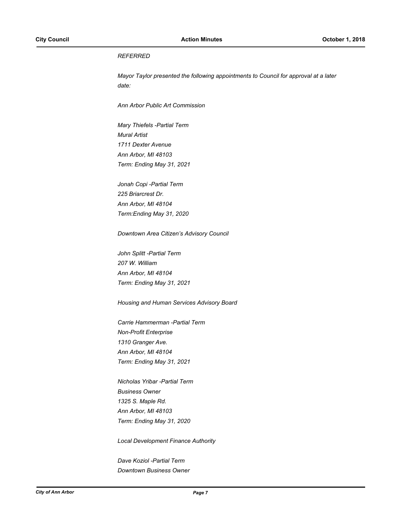# *REFERRED*

*Mayor Taylor presented the following appointments to Council for approval at a later date:*

*Ann Arbor Public Art Commission*

*Mary Thiefels -Partial Term Mural Artist 1711 Dexter Avenue Ann Arbor, MI 48103 Term: Ending May 31, 2021*

*Jonah Copi -Partial Term 225 Briarcrest Dr. Ann Arbor, MI 48104 Term:Ending May 31, 2020*

*Downtown Area Citizen's Advisory Council*

*John Splitt -Partial Term 207 W. William Ann Arbor, MI 48104 Term: Ending May 31, 2021*

*Housing and Human Services Advisory Board*

*Carrie Hammerman -Partial Term Non-Profit Enterprise 1310 Granger Ave. Ann Arbor, MI 48104 Term: Ending May 31, 2021*

*Nicholas Yribar -Partial Term Business Owner 1325 S. Maple Rd. Ann Arbor, MI 48103 Term: Ending May 31, 2020*

*Local Development Finance Authority*

*Dave Koziol -Partial Term Downtown Business Owner*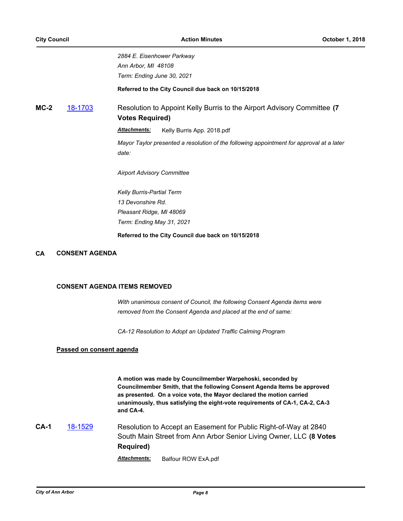*2884 E. Eisenhower Parkway Ann Arbor, MI 48108 Term: Ending June 30, 2021*

**Referred to the City Council due back on 10/15/2018**

**MC-2** [18-1703](http://a2gov.legistar.com/gateway.aspx/matter.aspx?key=21261) Resolution to Appoint Kelly Burris to the Airport Advisory Committee **(7 Votes Required)**

Attachments: Kelly Burris App. 2018.pdf

*Mayor Taylor presented a resolution of the following appointment for approval at a later date:*

*Airport Advisory Committee*

*Kelly Burris-Partial Term 13 Devonshire Rd. Pleasant Ridge, MI 48069 Term: Ending May 31, 2021*

**Referred to the City Council due back on 10/15/2018**

# **CA CONSENT AGENDA**

#### **CONSENT AGENDA ITEMS REMOVED**

*With unanimous consent of Council, the following Consent Agenda items were removed from the Consent Agenda and placed at the end of same:*

*CA-12 Resolution to Adopt an Updated Traffic Calming Program*

# **Passed on consent agenda**

**A motion was made by Councilmember Warpehoski, seconded by Councilmember Smith, that the following Consent Agenda Items be approved as presented. On a voice vote, the Mayor declared the motion carried unanimously, thus satisfying the eight-vote requirements of CA-1, CA-2, CA-3 and CA-4.**

**CA-1** [18-1529](http://a2gov.legistar.com/gateway.aspx/matter.aspx?key=21098) Resolution to Accept an Easement for Public Right-of-Way at 2840 South Main Street from Ann Arbor Senior Living Owner, LLC **(8 Votes Required)**

*Attachments:* Balfour ROW ExA.pdf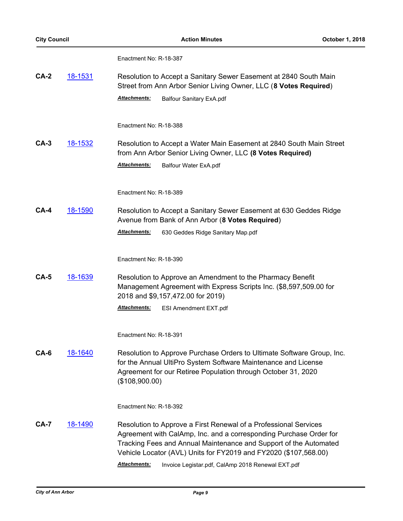Enactment No: R-18-387

| $CA-2$      | <u>18-1531</u> | Resolution to Accept a Sanitary Sewer Easement at 2840 South Main<br>Street from Ann Arbor Senior Living Owner, LLC (8 Votes Required)                                                                                                                                                                 |  |  |
|-------------|----------------|--------------------------------------------------------------------------------------------------------------------------------------------------------------------------------------------------------------------------------------------------------------------------------------------------------|--|--|
|             |                | Attachments:<br><b>Balfour Sanitary ExA.pdf</b>                                                                                                                                                                                                                                                        |  |  |
|             |                | Enactment No: R-18-388                                                                                                                                                                                                                                                                                 |  |  |
| $CA-3$      | <u>18-1532</u> | Resolution to Accept a Water Main Easement at 2840 South Main Street<br>from Ann Arbor Senior Living Owner, LLC (8 Votes Required)                                                                                                                                                                     |  |  |
|             |                | <b>Attachments:</b><br>Balfour Water ExA.pdf                                                                                                                                                                                                                                                           |  |  |
|             |                | Enactment No: R-18-389                                                                                                                                                                                                                                                                                 |  |  |
| <b>CA-4</b> | 18-1590        | Resolution to Accept a Sanitary Sewer Easement at 630 Geddes Ridge<br>Avenue from Bank of Ann Arbor (8 Votes Required)                                                                                                                                                                                 |  |  |
|             |                | Attachments:<br>630 Geddes Ridge Sanitary Map.pdf                                                                                                                                                                                                                                                      |  |  |
|             |                | Enactment No: R-18-390                                                                                                                                                                                                                                                                                 |  |  |
| $CA-5$      | 18-1639        | Resolution to Approve an Amendment to the Pharmacy Benefit<br>Management Agreement with Express Scripts Inc. (\$8,597,509.00 for<br>2018 and \$9,157,472.00 for 2019)                                                                                                                                  |  |  |
|             |                | Attachments:<br>ESI Amendment EXT.pdf                                                                                                                                                                                                                                                                  |  |  |
|             |                | Enactment No: R-18-391                                                                                                                                                                                                                                                                                 |  |  |
| CA-6        | 18-1640        | Resolution to Approve Purchase Orders to Ultimate Software Group, Inc.<br>for the Annual UltiPro System Software Maintenance and License<br>Agreement for our Retiree Population through October 31, 2020<br>(\$108,900.00)                                                                            |  |  |
|             |                | Enactment No: R-18-392                                                                                                                                                                                                                                                                                 |  |  |
| <b>CA-7</b> | <u>18-1490</u> | Resolution to Approve a First Renewal of a Professional Services<br>Agreement with CalAmp, Inc. and a corresponding Purchase Order for<br>Tracking Fees and Annual Maintenance and Support of the Automated<br>Vehicle Locator (AVL) Units for FY2019 and FY2020 (\$107,568.00)<br><b>Attachments:</b> |  |  |
|             |                | Invoice Legistar.pdf, CalAmp 2018 Renewal EXT.pdf                                                                                                                                                                                                                                                      |  |  |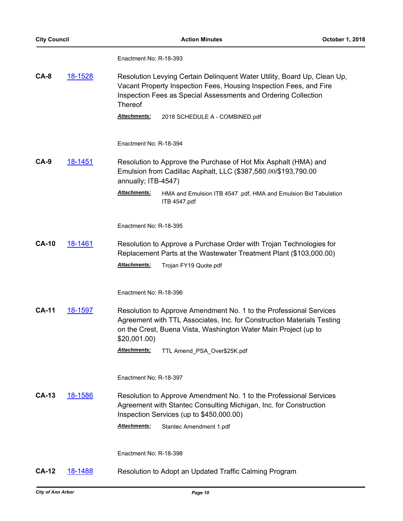Enactment No: R-18-393

| CA-8 | 18-1528 | Resolution Levying Certain Delinguent Water Utility, Board Up, Clean Up,<br>Vacant Property Inspection Fees, Housing Inspection Fees, and Fire |
|------|---------|------------------------------------------------------------------------------------------------------------------------------------------------|
|      |         | Inspection Fees as Special Assessments and Ordering Collection<br>Thereof                                                                      |

*Attachments:* 2018 SCHEDULE A - COMBINED.pdf

Enactment No: R-18-394

**CA-9** [18-1451](http://a2gov.legistar.com/gateway.aspx/matter.aspx?key=21022) Resolution to Approve the Purchase of Hot Mix Asphalt (HMA) and Emulsion from Cadillac Asphalt, LLC (\$387,580.00/\$193,790.00 annually; ITB-4547)

> *Attachments:* HMA and Emulsion ITB 4547 .pdf, HMA and Emulsion Bid Tabulation ITB 4547.pdf

Enactment No: R-18-395

**CA-10** [18-1461](http://a2gov.legistar.com/gateway.aspx/matter.aspx?key=21032) Resolution to Approve a Purchase Order with Trojan Technologies for Replacement Parts at the Wastewater Treatment Plant (\$103,000.00) *Attachments:* Trojan FY19 Quote.pdf

Enactment No: R-18-396

**CA-11** [18-1597](http://a2gov.legistar.com/gateway.aspx/matter.aspx?key=21155) Resolution to Approve Amendment No. 1 to the Professional Services Agreement with TTL Associates, Inc. for Construction Materials Testing on the Crest, Buena Vista, Washington Water Main Project (up to \$20,001.00)

*Attachments:* TTL Amend\_PSA\_Over\$25K.pdf

Enactment No: R-18-397

**CA-13** [18-1586](http://a2gov.legistar.com/gateway.aspx/matter.aspx?key=21144) Resolution to Approve Amendment No. 1 to the Professional Services Agreement with Stantec Consulting Michigan, Inc. for Construction Inspection Services (up to \$450,000.00)

*Attachments:* Stantec Amendment 1.pdf

Enactment No: R-18-398

**CA-12** [18-1488](http://a2gov.legistar.com/gateway.aspx/matter.aspx?key=21059) Resolution to Adopt an Updated Traffic Calming Program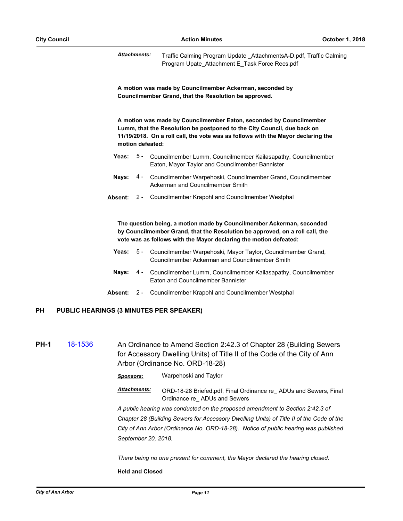*Attachments:* Traffic Calming Program Update \_AttachmentsA-D.pdf, Traffic Calming Program Upate\_Attachment E\_Task Force Recs.pdf

**A motion was made by Councilmember Ackerman, seconded by Councilmember Grand, that the Resolution be approved.**

**A motion was made by Councilmember Eaton, seconded by Councilmember Lumm, that the Resolution be postponed to the City Council, due back on 11/19/2018. On a roll call, the vote was as follows with the Mayor declaring the motion defeated:**

- Yeas: 5 Councilmember Lumm, Councilmember Kailasapathy, Councilmember Eaton, Mayor Taylor and Councilmember Bannister
- Nays: 4 Councilmember Warpehoski, Councilmember Grand, Councilmember Ackerman and Councilmember Smith
- **Absent:** 2 Councilmember Krapohl and Councilmember Westphal

**The question being, a motion made by Councilmember Ackerman, seconded by Councilmember Grand, that the Resolution be approved, on a roll call, the vote was as follows with the Mayor declaring the motion defeated:**

- Yeas: 5 Councilmember Warpehoski, Mayor Taylor, Councilmember Grand, Councilmember Ackerman and Councilmember Smith
- Nays: 4 Councilmember Lumm, Councilmember Kailasapathy, Councilmember Eaton and Councilmember Bannister
- **Absent:** 2 Councilmember Krapohl and Councilmember Westphal

# **PH PUBLIC HEARINGS (3 MINUTES PER SPEAKER)**

**PH-1** [18-1536](http://a2gov.legistar.com/gateway.aspx/matter.aspx?key=21105) An Ordinance to Amend Section 2:42.3 of Chapter 28 (Building Sewers for Accessory Dwelling Units) of Title II of the Code of the City of Ann Arbor (Ordinance No. ORD-18-28)

*Sponsors:* Warpehoski and Taylor

*Attachments:* ORD-18-28 Briefed.pdf, Final Ordinance re\_ ADUs and Sewers, Final Ordinance re\_ ADUs and Sewers

*A public hearing was conducted on the proposed amendment to Section 2:42.3 of Chapter 28 (Building Sewers for Accessory Dwelling Units) of Title II of the Code of the City of Ann Arbor (Ordinance No. ORD-18-28). Notice of public hearing was published September 20, 2018.*

*There being no one present for comment, the Mayor declared the hearing closed.*

#### **Held and Closed**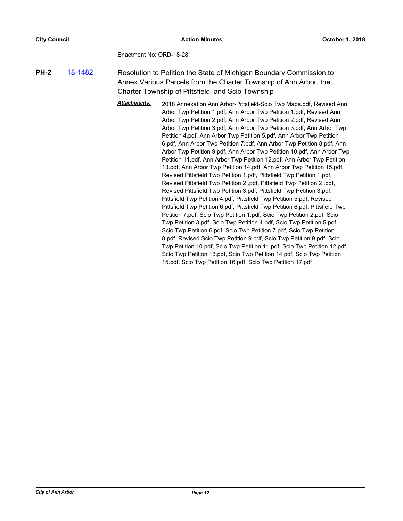Enactment No: ORD-18-28

**PH-2** [18-1482](http://a2gov.legistar.com/gateway.aspx/matter.aspx?key=21053) Resolution to Petition the State of Michigan Boundary Commission to Annex Various Parcels from the Charter Township of Ann Arbor, the Charter Township of Pittsfield, and Scio Township

> *Attachments:* 2018 Annexation Ann Arbor-Pittsfield-Scio Twp Maps.pdf, Revised Ann Arbor Twp Petition 1.pdf, Ann Arbor Twp Petition 1.pdf, Revised Ann Arbor Twp Petition 2.pdf, Ann Arbor Twp Petition 2.pdf, Revised Ann Arbor Twp Petition 3.pdf, Ann Arbor Twp Petition 3.pdf, Ann Arbor Twp Petition 4.pdf, Ann Arbor Twp Petition 5.pdf, Ann Arbor Twp Petition 6.pdf, Ann Arbor Twp Petition 7.pdf, Ann Arbor Twp Petition 8.pdf, Ann Arbor Twp Petition 9.pdf, Ann Arbor Twp Petition 10.pdf, Ann Arbor Twp Petition 11.pdf, Ann Arbor Twp Petition 12.pdf, Ann Arbor Twp Petition 13.pdf, Ann Arbor Twp Petition 14.pdf, Ann Arbor Twp Petition 15.pdf, Revised Pittsfield Twp Petition 1.pdf, Pittsfield Twp Petition 1.pdf, Revised Pittsfield Twp Petition 2 .pdf, Pittsfield Twp Petition 2 .pdf, Revised Pittsfield Twp Petition 3.pdf, Pittsfield Twp Petition 3.pdf, Pittsfield Twp Petition 4.pdf, Pittsfield Twp Petition 5.pdf, Revised Pittsfield Twp Petition 6.pdf, Pittsfield Twp Petition 6.pdf, Pittsfield Twp Petition 7.pdf, Scio Twp Petition 1.pdf, Scio Twp Petition 2.pdf, Scio Twp Petition 3.pdf, Scio Twp Petition 4.pdf, Scio Twp Petition 5.pdf, Scio Twp Petition 6.pdf, Scio Twp Petition 7.pdf, Scio Twp Petition 8.pdf, Revised Scio Twp Petition 9.pdf, Scio Twp Petition 9.pdf, Scio Twp Petition 10.pdf, Scio Twp Petition 11.pdf, Scio Twp Petition 12.pdf, Scio Twp Petition 13.pdf, Scio Twp Petition 14.pdf, Scio Twp Petition 15.pdf, Scio Twp Petition 16.pdf, Scio Twp Petition 17.pdf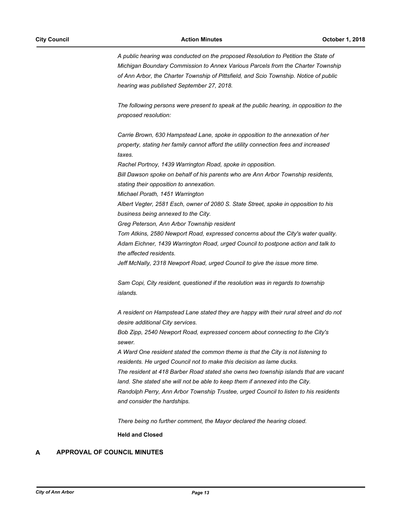*A public hearing was conducted on the proposed Resolution to Petition the State of Michigan Boundary Commission to Annex Various Parcels from the Charter Township of Ann Arbor, the Charter Township of Pittsfield, and Scio Township. Notice of public hearing was published September 27, 2018.*

*The following persons were present to speak at the public hearing, in opposition to the proposed resolution:*

*Carrie Brown, 630 Hampstead Lane, spoke in opposition to the annexation of her property, stating her family cannot afford the utility connection fees and increased taxes. Rachel Portnoy, 1439 Warrington Road, spoke in opposition. Bill Dawson spoke on behalf of his parents who are Ann Arbor Township residents, stating their opposition to annexation. Michael Porath, 1451 Warrington Albert Vegter, 2581 Esch, owner of 2080 S. State Street, spoke in opposition to his business being annexed to the City. Greg Peterson, Ann Arbor Township resident Tom Atkins, 2580 Newport Road, expressed concerns about the City's water quality. Adam Eichner, 1439 Warrington Road, urged Council to postpone action and talk to the affected residents. Jeff McNally, 2318 Newport Road, urged Council to give the issue more time.*

*Sam Copi, City resident, questioned if the resolution was in regards to township islands.*

*A resident on Hampstead Lane stated they are happy with their rural street and do not desire additional City services.*

*Bob Zipp, 2540 Newport Road, expressed concern about connecting to the City's sewer.*

*A Ward One resident stated the common theme is that the City is not listening to residents. He urged Council not to make this decision as lame ducks. The resident at 418 Barber Road stated she owns two township islands that are vacant land. She stated she will not be able to keep them if annexed into the City. Randolph Perry, Ann Arbor Township Trustee, urged Council to listen to his residents and consider the hardships.*

*There being no further comment, the Mayor declared the hearing closed.*

**Held and Closed**

# **A APPROVAL OF COUNCIL MINUTES**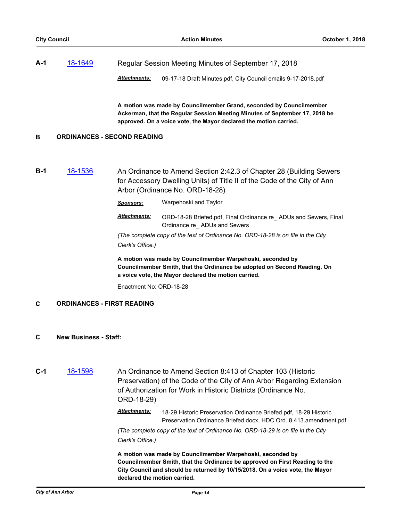| $A-1$ | 18-1649 | Regular Session Meeting Minutes of September 17, 2018 |                                                               |
|-------|---------|-------------------------------------------------------|---------------------------------------------------------------|
|       |         | <b>Attachments:</b>                                   | 09-17-18 Draft Minutes.pdf, City Council emails 9-17-2018.pdf |

**A motion was made by Councilmember Grand, seconded by Councilmember Ackerman, that the Regular Session Meeting Minutes of September 17, 2018 be approved. On a voice vote, the Mayor declared the motion carried.**

#### **B ORDINANCES - SECOND READING**

**B-1** [18-1536](http://a2gov.legistar.com/gateway.aspx/matter.aspx?key=21105) An Ordinance to Amend Section 2:42.3 of Chapter 28 (Building Sewers for Accessory Dwelling Units) of Title II of the Code of the City of Ann Arbor (Ordinance No. ORD-18-28)

*Sponsors:* Warpehoski and Taylor

*Attachments:* ORD-18-28 Briefed.pdf, Final Ordinance re\_ ADUs and Sewers, Final Ordinance re\_ ADUs and Sewers

*(The complete copy of the text of Ordinance No. ORD-18-28 is on file in the City Clerk's Office.)*

**A motion was made by Councilmember Warpehoski, seconded by Councilmember Smith, that the Ordinance be adopted on Second Reading. On a voice vote, the Mayor declared the motion carried.**

Enactment No: ORD-18-28

# **C ORDINANCES - FIRST READING**

- **C New Business Staff:**
- **C-1** [18-1598](http://a2gov.legistar.com/gateway.aspx/matter.aspx?key=21156) An Ordinance to Amend Section 8:413 of Chapter 103 (Historic Preservation) of the Code of the City of Ann Arbor Regarding Extension of Authorization for Work in Historic Districts (Ordinance No. ORD-18-29)

*Attachments:* 18-29 Historic Preservation Ordinance Briefed.pdf, 18-29 Historic Preservation Ordinance Briefed.docx, HDC Ord. 8.413.amendment.pdf

*(The complete copy of the text of Ordinance No. ORD-18-29 is on file in the City Clerk's Office.)*

**A motion was made by Councilmember Warpehoski, seconded by Councilmember Smith, that the Ordinance be approved on First Reading to the City Council and should be returned by 10/15/2018. On a voice vote, the Mayor declared the motion carried.**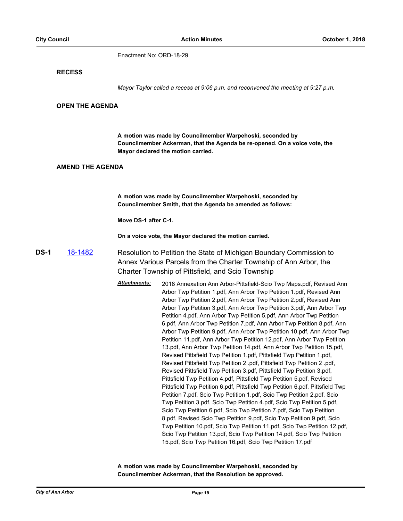Enactment No: ORD-18-29

#### **RECESS**

*Mayor Taylor called a recess at 9:06 p.m. and reconvened the meeting at 9:27 p.m.*

#### **OPEN THE AGENDA**

**A motion was made by Councilmember Warpehoski, seconded by Councilmember Ackerman, that the Agenda be re-opened. On a voice vote, the Mayor declared the motion carried.**

## **AMEND THE AGENDA**

**A motion was made by Councilmember Warpehoski, seconded by Councilmember Smith, that the Agenda be amended as follows:** 

**Move DS-1 after C-1.**

**On a voice vote, the Mayor declared the motion carried.**

**DS-1** [18-1482](http://a2gov.legistar.com/gateway.aspx/matter.aspx?key=21053) Resolution to Petition the State of Michigan Boundary Commission to Annex Various Parcels from the Charter Township of Ann Arbor, the Charter Township of Pittsfield, and Scio Township

> *Attachments:* 2018 Annexation Ann Arbor-Pittsfield-Scio Twp Maps.pdf, Revised Ann Arbor Twp Petition 1.pdf, Ann Arbor Twp Petition 1.pdf, Revised Ann Arbor Twp Petition 2.pdf, Ann Arbor Twp Petition 2.pdf, Revised Ann Arbor Twp Petition 3.pdf, Ann Arbor Twp Petition 3.pdf, Ann Arbor Twp Petition 4.pdf, Ann Arbor Twp Petition 5.pdf, Ann Arbor Twp Petition 6.pdf, Ann Arbor Twp Petition 7.pdf, Ann Arbor Twp Petition 8.pdf, Ann Arbor Twp Petition 9.pdf, Ann Arbor Twp Petition 10.pdf, Ann Arbor Twp Petition 11.pdf, Ann Arbor Twp Petition 12.pdf, Ann Arbor Twp Petition 13.pdf, Ann Arbor Twp Petition 14.pdf, Ann Arbor Twp Petition 15.pdf, Revised Pittsfield Twp Petition 1.pdf, Pittsfield Twp Petition 1.pdf, Revised Pittsfield Twp Petition 2 .pdf, Pittsfield Twp Petition 2 .pdf, Revised Pittsfield Twp Petition 3.pdf, Pittsfield Twp Petition 3.pdf, Pittsfield Twp Petition 4.pdf, Pittsfield Twp Petition 5.pdf, Revised Pittsfield Twp Petition 6.pdf, Pittsfield Twp Petition 6.pdf, Pittsfield Twp Petition 7.pdf, Scio Twp Petition 1.pdf, Scio Twp Petition 2.pdf, Scio Twp Petition 3.pdf, Scio Twp Petition 4.pdf, Scio Twp Petition 5.pdf, Scio Twp Petition 6.pdf, Scio Twp Petition 7.pdf, Scio Twp Petition 8.pdf, Revised Scio Twp Petition 9.pdf, Scio Twp Petition 9.pdf, Scio Twp Petition 10.pdf, Scio Twp Petition 11.pdf, Scio Twp Petition 12.pdf, Scio Twp Petition 13.pdf, Scio Twp Petition 14.pdf, Scio Twp Petition 15.pdf, Scio Twp Petition 16.pdf, Scio Twp Petition 17.pdf

**A motion was made by Councilmember Warpehoski, seconded by Councilmember Ackerman, that the Resolution be approved.**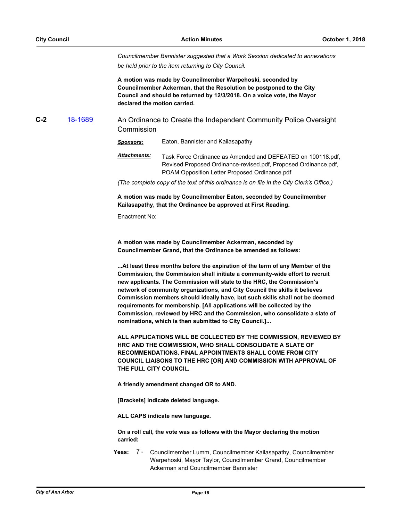*Councilmember Bannister suggested that a Work Session dedicated to annexations be held prior to the item returning to City Council.*

**A motion was made by Councilmember Warpehoski, seconded by Councilmember Ackerman, that the Resolution be postponed to the City Council and should be returned by 12/3/2018. On a voice vote, the Mayor declared the motion carried.**

**C-2** [18-1689](http://a2gov.legistar.com/gateway.aspx/matter.aspx?key=21247) An Ordinance to Create the Independent Community Police Oversight Commission

*Sponsors:* Eaton, Bannister and Kailasapathy

*Attachments:* Task Force Ordinance as Amended and DEFEATED on 100118.pdf, Revised Proposed Ordinance-revised.pdf, Proposed Ordinance.pdf, POAM Opposition Letter Proposed Ordinance.pdf

*(The complete copy of the text of this ordinance is on file in the City Clerk's Office.)*

**A motion was made by Councilmember Eaton, seconded by Councilmember Kailasapathy, that the Ordinance be approved at First Reading.**

Enactment No:

**A motion was made by Councilmember Ackerman, seconded by Councilmember Grand, that the Ordinance be amended as follows:**

**...At least three months before the expiration of the term of any Member of the Commission, the Commission shall initiate a community-wide effort to recruit new applicants. The Commission will state to the HRC, the Commission's network of community organizations, and City Council the skills it believes Commission members should ideally have, but such skills shall not be deemed requirements for membership. [All applications will be collected by the Commission, reviewed by HRC and the Commission, who consolidate a slate of nominations, which is then submitted to City Council.]...**

**ALL APPLICATIONS WILL BE COLLECTED BY THE COMMISSION, REVIEWED BY HRC AND THE COMMISSION, WHO SHALL CONSOLIDATE A SLATE OF RECOMMENDATIONS. FINAL APPOINTMENTS SHALL COME FROM CITY COUNCIL LIAISONS TO THE HRC [OR] AND COMMISSION WITH APPROVAL OF THE FULL CITY COUNCIL.** 

**A friendly amendment changed OR to AND.**

**[Brackets] indicate deleted language.**

**ALL CAPS indicate new language.**

**On a roll call, the vote was as follows with the Mayor declaring the motion carried:**

**Yeas:** Councilmember Lumm, Councilmember Kailasapathy, Councilmember Warpehoski, Mayor Taylor, Councilmember Grand, Councilmember Ackerman and Councilmember Bannister Yeas:  $7 -$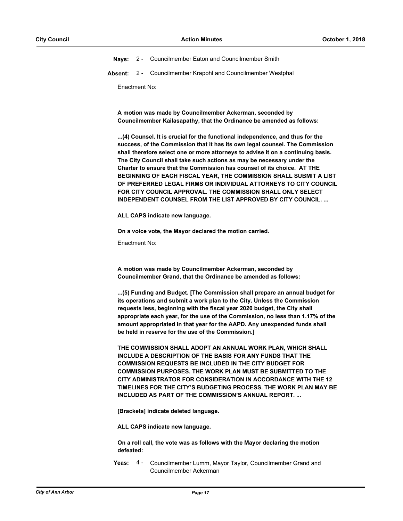**Nays:** 2 - Councilmember Eaton and Councilmember Smith

**Absent:** 2 - Councilmember Krapohl and Councilmember Westphal

Enactment No:

**A motion was made by Councilmember Ackerman, seconded by Councilmember Kailasapathy, that the Ordinance be amended as follows:**

**...(4) Counsel. It is crucial for the functional independence, and thus for the success, of the Commission that it has its own legal counsel. The Commission shall therefore select one or more attorneys to advise it on a continuing basis. The City Council shall take such actions as may be necessary under the Charter to ensure that the Commission has counsel of its choice. AT THE BEGINNING OF EACH FISCAL YEAR, THE COMMISSION SHALL SUBMIT A LIST OF PREFERRED LEGAL FIRMS OR INDIVIDUAL ATTORNEYS TO CITY COUNCIL FOR CITY COUNCIL APPROVAL. THE COMMISSION SHALL ONLY SELECT INDEPENDENT COUNSEL FROM THE LIST APPROVED BY CITY COUNCIL. ...**

**ALL CAPS indicate new language.**

**On a voice vote, the Mayor declared the motion carried.**

Enactment No:

**A motion was made by Councilmember Ackerman, seconded by Councilmember Grand, that the Ordinance be amended as follows:**

**...(5) Funding and Budget. [The Commission shall prepare an annual budget for its operations and submit a work plan to the City. Unless the Commission requests less, beginning with the fiscal year 2020 budget, the City shall appropriate each year, for the use of the Commission, no less than 1.17% of the amount appropriated in that year for the AAPD. Any unexpended funds shall be held in reserve for the use of the Commission.]**

**THE COMMISSION SHALL ADOPT AN ANNUAL WORK PLAN, WHICH SHALL INCLUDE A DESCRIPTION OF THE BASIS FOR ANY FUNDS THAT THE COMMISSION REQUESTS BE INCLUDED IN THE CITY BUDGET FOR COMMISSION PURPOSES. THE WORK PLAN MUST BE SUBMITTED TO THE CITY ADMINISTRATOR FOR CONSIDERATION IN ACCORDANCE WITH THE 12 TIMELINES FOR THE CITY'S BUDGETING PROCESS. THE WORK PLAN MAY BE INCLUDED AS PART OF THE COMMISSION'S ANNUAL REPORT. ...**

**[Brackets] indicate deleted language.**

**ALL CAPS indicate new language.**

**On a roll call, the vote was as follows with the Mayor declaring the motion defeated:**

Yeas: 4 - Councilmember Lumm, Mayor Taylor, Councilmember Grand and Councilmember Ackerman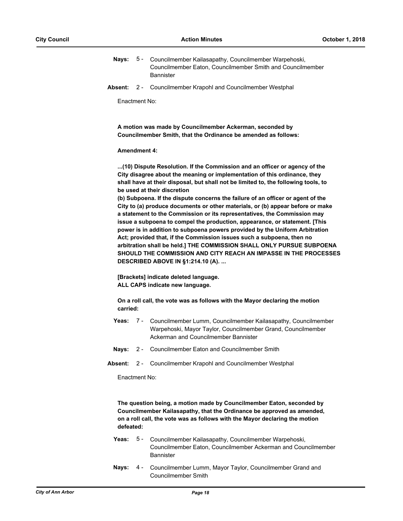- Nays: 5 Councilmember Kailasapathy, Councilmember Warpehoski, Councilmember Eaton, Councilmember Smith and Councilmember Bannister 5 -
- **Absent:** 2 Councilmember Krapohl and Councilmember Westphal

Enactment No:

**A motion was made by Councilmember Ackerman, seconded by Councilmember Smith, that the Ordinance be amended as follows:**

#### **Amendment 4:**

**...(10) Dispute Resolution. If the Commission and an officer or agency of the City disagree about the meaning or implementation of this ordinance, they shall have at their disposal, but shall not be limited to, the following tools, to be used at their discretion**

**(b) Subpoena. If the dispute concerns the failure of an officer or agent of the City to (a) produce documents or other materials, or (b) appear before or make a statement to the Commission or its representatives, the Commission may issue a subpoena to compel the production, appearance, or statement. [This power is in addition to subpoena powers provided by the Uniform Arbitration Act; provided that, if the Commission issues such a subpoena, then no arbitration shall be held.] THE COMMISSION SHALL ONLY PURSUE SUBPOENA SHOULD THE COMMISSION AND CITY REACH AN IMPASSE IN THE PROCESSES DESCRIBED ABOVE IN §1:214.10 (A). ...**

**[Brackets] indicate deleted language. ALL CAPS indicate new language.**

**On a roll call, the vote was as follows with the Mayor declaring the motion carried:**

- Yeas: 7 Councilmember Lumm, Councilmember Kailasapathy, Councilmember Warpehoski, Mayor Taylor, Councilmember Grand, Councilmember Ackerman and Councilmember Bannister  $7 -$
- **Nays:** 2 Councilmember Eaton and Councilmember Smith
- **Absent:** 2 Councilmember Krapohl and Councilmember Westphal

Enactment No:

**The question being, a motion made by Councilmember Eaton, seconded by Councilmember Kailasapathy, that the Ordinance be approved as amended, on a roll call, the vote was as follows with the Mayor declaring the motion defeated:**

- **Yeas:** Councilmember Kailasapathy, Councilmember Warpehoski, Councilmember Eaton, Councilmember Ackerman and Councilmember **Bannister** Yeas:  $5 -$
- Nays: 4 Councilmember Lumm, Mayor Taylor, Councilmember Grand and Councilmember Smith  $4 -$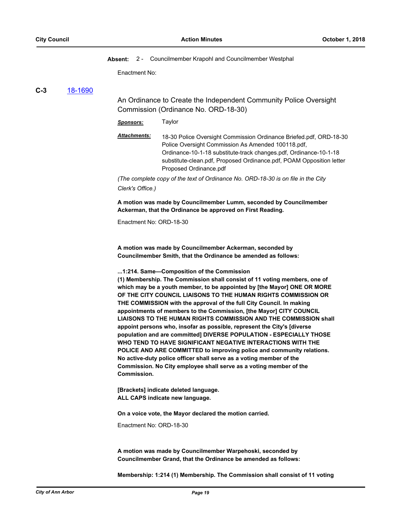**Absent:** 2 - Councilmember Krapohl and Councilmember Westphal

Enactment No:

# **C-3** [18-1690](http://a2gov.legistar.com/gateway.aspx/matter.aspx?key=21248)

An Ordinance to Create the Independent Community Police Oversight Commission (Ordinance No. ORD-18-30)

*Sponsors:* Taylor

| Attachments: | 18-30 Police Oversight Commission Ordinance Briefed.pdf, ORD-18-30   |
|--------------|----------------------------------------------------------------------|
|              | Police Oversight Commission As Amended 100118.pdf,                   |
|              | Ordinance-10-1-18 substitute-track changes.pdf, Ordinance-10-1-18    |
|              | substitute-clean.pdf, Proposed Ordinance.pdf, POAM Opposition letter |
|              | Proposed Ordinance.pdf                                               |
|              |                                                                      |

*(The complete copy of the text of Ordinance No. ORD-18-30 is on file in the City Clerk's Office.)*

**A motion was made by Councilmember Lumm, seconded by Councilmember Ackerman, that the Ordinance be approved on First Reading.**

Enactment No: ORD-18-30

**A motion was made by Councilmember Ackerman, seconded by Councilmember Smith, that the Ordinance be amended as follows:**

#### **...1:214. Same—Composition of the Commission**

**(1) Membership. The Commission shall consist of 11 voting members, one of which may be a youth member, to be appointed by [the Mayor] ONE OR MORE OF THE CITY COUNCIL LIAISONS TO THE HUMAN RIGHTS COMMISSION OR THE COMMISSION with the approval of the full City Council. In making appointments of members to the Commission, [the Mayor] CITY COUNCIL LIAISONS TO THE HUMAN RIGHTS COMMISSION AND THE COMMISSION shall appoint persons who, insofar as possible, represent the City's [diverse population and are committed] DIVERSE POPULATION - ESPECIALLY THOSE WHO TEND TO HAVE SIGNIFICANT NEGATIVE INTERACTIONS WITH THE POLICE AND ARE COMMITTED to improving police and community relations. No active-duty police officer shall serve as a voting member of the Commission. No City employee shall serve as a voting member of the Commission.**

**[Brackets] indicate deleted language. ALL CAPS indicate new language.**

**On a voice vote, the Mayor declared the motion carried.**

Enactment No: ORD-18-30

**A motion was made by Councilmember Warpehoski, seconded by Councilmember Grand, that the Ordinance be amended as follows:**

**Membership: 1:214 (1) Membership. The Commission shall consist of 11 voting**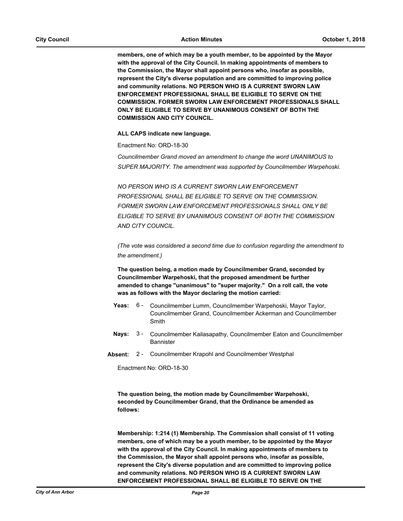**members, one of which may be a youth member, to be appointed by the Mayor with the approval of the City Council. In making appointments of members to the Commission, the Mayor shall appoint persons who, insofar as possible, represent the City's diverse population and are committed to improving police and community relations. NO PERSON WHO IS A CURRENT SWORN LAW ENFORCEMENT PROFESSIONAL SHALL BE ELIGIBLE TO SERVE ON THE COMMISSION. FORMER SWORN LAW ENFORCEMENT PROFESSIONALS SHALL ONLY BE ELIGIBLE TO SERVE BY UNANIMOUS CONSENT OF BOTH THE COMMISSION AND CITY COUNCIL.** 

**ALL CAPS indicate new language.**

Enactment No: ORD-18-30

*Councilmember Grand moved an amendment to change the word UNANIMOUS to SUPER MAJORITY. The amendment was supported by Councilmember Warpehoski.*

*NO PERSON WHO IS A CURRENT SWORN LAW ENFORCEMENT PROFESSIONAL SHALL BE ELIGIBLE TO SERVE ON THE COMMISSION. FORMER SWORN LAW ENFORCEMENT PROFESSIONALS SHALL ONLY BE ELIGIBLE TO SERVE BY UNANIMOUS CONSENT OF BOTH THE COMMISSION AND CITY COUNCIL.*

*(The vote was considered a second time due to confusion regarding the amendment to the amendment.)*

**The question being, a motion made by Councilmember Grand, seconded by Councilmember Warpehoski, that the proposed amendment be further amended to change "unanimous" to "super majority." On a roll call, the vote was as follows with the Mayor declaring the motion carried:**

- Yeas: 6 Councilmember Lumm, Councilmember Warpehoski, Mayor Taylor, Councilmember Grand, Councilmember Ackerman and Councilmember Smith  $6 -$
- **Nays:** Councilmember Kailasapathy, Councilmember Eaton and Councilmember **Bannister**  $3 -$
- **Absent:** 2 Councilmember Krapohl and Councilmember Westphal

Enactment No: ORD-18-30

**The question being, the motion made by Councilmember Warpehoski, seconded by Councilmember Grand, that the Ordinance be amended as follows:**

**Membership: 1:214 (1) Membership. The Commission shall consist of 11 voting members, one of which may be a youth member, to be appointed by the Mayor with the approval of the City Council. In making appointments of members to the Commission, the Mayor shall appoint persons who, insofar as possible, represent the City's diverse population and are committed to improving police and community relations. NO PERSON WHO IS A CURRENT SWORN LAW ENFORCEMENT PROFESSIONAL SHALL BE ELIGIBLE TO SERVE ON THE**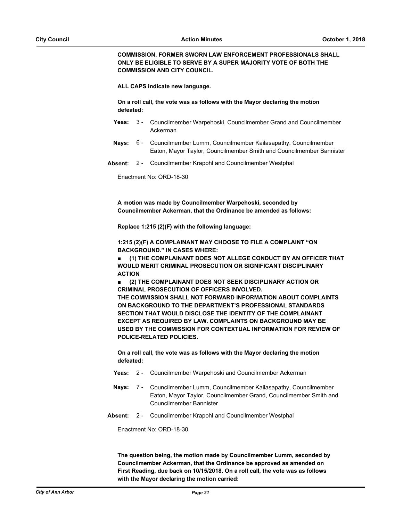**COMMISSION. FORMER SWORN LAW ENFORCEMENT PROFESSIONALS SHALL ONLY BE ELIGIBLE TO SERVE BY A SUPER MAJORITY VOTE OF BOTH THE COMMISSION AND CITY COUNCIL.** 

**ALL CAPS indicate new language.**

**On a roll call, the vote was as follows with the Mayor declaring the motion defeated:**

- Yeas: 3 Councilmember Warpehoski, Councilmember Grand and Councilmember Ackerman
- Nays: 6 Councilmember Lumm, Councilmember Kailasapathy, Councilmember Eaton, Mayor Taylor, Councilmember Smith and Councilmember Bannister
- **Absent:** 2 Councilmember Krapohl and Councilmember Westphal

Enactment No: ORD-18-30

**A motion was made by Councilmember Warpehoski, seconded by Councilmember Ackerman, that the Ordinance be amended as follows:**

**Replace 1:215 (2)(F) with the following language:**

**1:215 (2)(F) A COMPLAINANT MAY CHOOSE TO FILE A COMPLAINT "ON BACKGROUND." IN CASES WHERE:**

**■ (1) THE COMPLAINANT DOES NOT ALLEGE CONDUCT BY AN OFFICER THAT WOULD MERIT CRIMINAL PROSECUTION OR SIGNIFICANT DISCIPLINARY ACTION**

**■ (2) THE COMPLAINANT DOES NOT SEEK DISCIPLINARY ACTION OR CRIMINAL PROSECUTION OF OFFICERS INVOLVED.** 

**THE COMMISSION SHALL NOT FORWARD INFORMATION ABOUT COMPLAINTS ON BACKGROUND TO THE DEPARTMENT'S PROFESSIONAL STANDARDS SECTION THAT WOULD DISCLOSE THE IDENTITY OF THE COMPLAINANT EXCEPT AS REQUIRED BY LAW. COMPLAINTS ON BACKGROUND MAY BE USED BY THE COMMISSION FOR CONTEXTUAL INFORMATION FOR REVIEW OF POLICE-RELATED POLICIES.** 

**On a roll call, the vote was as follows with the Mayor declaring the motion defeated:**

- **Yeas:** 2 Councilmember Warpehoski and Councilmember Ackerman
- Nays: 7 Councilmember Lumm, Councilmember Kailasapathy, Councilmember Eaton, Mayor Taylor, Councilmember Grand, Councilmember Smith and Councilmember Bannister 7 -
- **Absent:** 2 Councilmember Krapohl and Councilmember Westphal

Enactment No: ORD-18-30

**The question being, the motion made by Councilmember Lumm, seconded by Councilmember Ackerman, that the Ordinance be approved as amended on First Reading, due back on 10/15/2018. On a roll call, the vote was as follows with the Mayor declaring the motion carried:**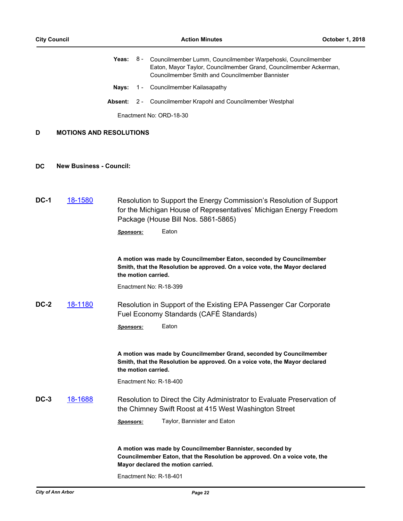|             |                                | Yeas:            |       | 8 - Councilmember Lumm, Councilmember Warpehoski, Councilmember<br>Eaton, Mayor Taylor, Councilmember Grand, Councilmember Ackerman,<br><b>Councilmember Smith and Councilmember Bannister</b> |
|-------------|--------------------------------|------------------|-------|------------------------------------------------------------------------------------------------------------------------------------------------------------------------------------------------|
|             |                                | Nays:            |       | 1 - Councilmember Kailasapathy                                                                                                                                                                 |
|             |                                | <b>Absent:</b>   | $2 -$ | Councilmember Krapohl and Councilmember Westphal                                                                                                                                               |
|             |                                |                  |       | Enactment No: ORD-18-30                                                                                                                                                                        |
| D           | <b>MOTIONS AND RESOLUTIONS</b> |                  |       |                                                                                                                                                                                                |
| DC          | <b>New Business - Council:</b> |                  |       |                                                                                                                                                                                                |
| <b>DC-1</b> | 18-1580                        |                  |       | Resolution to Support the Energy Commission's Resolution of Support<br>for the Michigan House of Representatives' Michigan Energy Freedom<br>Package (House Bill Nos. 5861-5865)               |
|             |                                | <b>Sponsors:</b> |       | Eaton                                                                                                                                                                                          |
|             |                                |                  |       | A motion was made by Councilmember Eaton, seconded by Councilmember<br>Smith, that the Resolution be approved. On a voice vote, the Mayor declared<br>the motion carried.                      |
|             |                                |                  |       | Enactment No: R-18-399                                                                                                                                                                         |
| DC-2        | 18-1180                        |                  |       | Resolution in Support of the Existing EPA Passenger Car Corporate<br>Fuel Economy Standards (CAFÉ Standards)                                                                                   |
|             |                                | Sponsors:        |       | Eaton                                                                                                                                                                                          |
|             |                                |                  |       | A motion was made by Councilmember Grand, seconded by Councilmember<br>Smith, that the Resolution be approved. On a voice vote, the Mayor declared<br>the motion carried.                      |
|             |                                |                  |       | Enactment No: R-18-400                                                                                                                                                                         |
| $DC-3$      | 18-1688                        |                  |       | Resolution to Direct the City Administrator to Evaluate Preservation of<br>the Chimney Swift Roost at 415 West Washington Street                                                               |
|             |                                | <b>Sponsors:</b> |       | Taylor, Bannister and Eaton                                                                                                                                                                    |
|             |                                |                  |       | A motion was made by Councilmember Bannister, seconded by<br>Councilmember Eaton, that the Resolution be approved. On a voice vote, the<br>Mayor declared the motion carried.                  |

Enactment No: R-18-401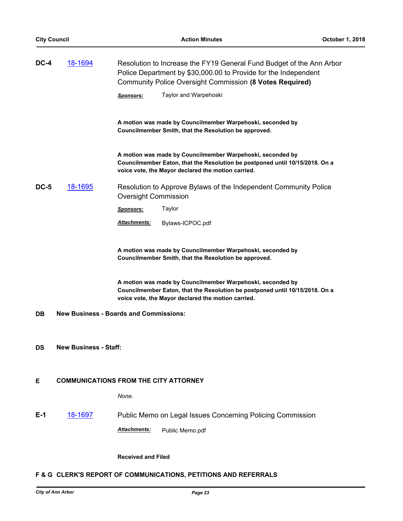| DC-4      | 18-1694<br>Resolution to Increase the FY19 General Fund Budget of the Ann Arbor<br>Police Department by \$30,000.00 to Provide for the Independent<br>Community Police Oversight Commission (8 Votes Required) |                                                                                                                                                                                                  |  |  |
|-----------|----------------------------------------------------------------------------------------------------------------------------------------------------------------------------------------------------------------|--------------------------------------------------------------------------------------------------------------------------------------------------------------------------------------------------|--|--|
|           |                                                                                                                                                                                                                | Taylor and Warpehoski<br><b>Sponsors:</b>                                                                                                                                                        |  |  |
|           |                                                                                                                                                                                                                | A motion was made by Councilmember Warpehoski, seconded by<br>Councilmember Smith, that the Resolution be approved.                                                                              |  |  |
|           |                                                                                                                                                                                                                | A motion was made by Councilmember Warpehoski, seconded by<br>Councilmember Eaton, that the Resolution be postponed until 10/15/2018. On a<br>voice vote, the Mayor declared the motion carried. |  |  |
| DC-5      | <u>18-1695</u>                                                                                                                                                                                                 | Resolution to Approve Bylaws of the Independent Community Police<br><b>Oversight Commission</b>                                                                                                  |  |  |
|           |                                                                                                                                                                                                                | Taylor<br><u>Sponsors:</u>                                                                                                                                                                       |  |  |
|           |                                                                                                                                                                                                                | <b>Attachments:</b><br>Bylaws-ICPOC.pdf                                                                                                                                                          |  |  |
|           |                                                                                                                                                                                                                | A motion was made by Councilmember Warpehoski, seconded by<br>Councilmember Smith, that the Resolution be approved.                                                                              |  |  |
|           |                                                                                                                                                                                                                | A motion was made by Councilmember Warpehoski, seconded by<br>Councilmember Eaton, that the Resolution be postponed until 10/15/2018. On a<br>voice vote, the Mayor declared the motion carried. |  |  |
| DB        | <b>New Business - Boards and Commissions:</b>                                                                                                                                                                  |                                                                                                                                                                                                  |  |  |
|           |                                                                                                                                                                                                                |                                                                                                                                                                                                  |  |  |
| <b>DS</b> | <b>New Business - Staff:</b>                                                                                                                                                                                   |                                                                                                                                                                                                  |  |  |
|           |                                                                                                                                                                                                                |                                                                                                                                                                                                  |  |  |
| Е         |                                                                                                                                                                                                                | <b>COMMUNICATIONS FROM THE CITY ATTORNEY</b>                                                                                                                                                     |  |  |
|           |                                                                                                                                                                                                                | None.                                                                                                                                                                                            |  |  |
| $E-1$     | 18-1697                                                                                                                                                                                                        | Public Memo on Legal Issues Concerning Policing Commission                                                                                                                                       |  |  |
|           |                                                                                                                                                                                                                | Attachments:<br>Public Memo.pdf                                                                                                                                                                  |  |  |
|           |                                                                                                                                                                                                                |                                                                                                                                                                                                  |  |  |
|           |                                                                                                                                                                                                                | <b>Received and Filed</b>                                                                                                                                                                        |  |  |

# **F & G CLERK'S REPORT OF COMMUNICATIONS, PETITIONS AND REFERRALS**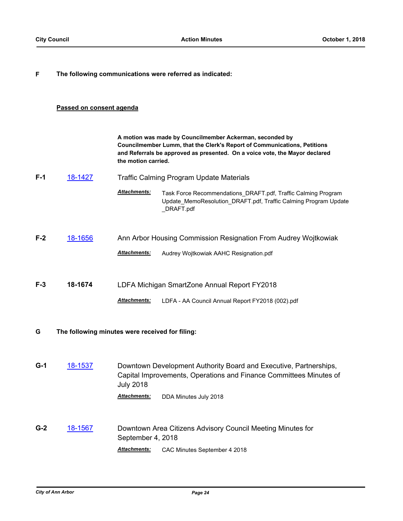# **F The following communications were referred as indicated:**

# **Passed on consent agenda**

|       |         | A motion was made by Councilmember Ackerman, seconded by<br>Councilmember Lumm, that the Clerk's Report of Communications, Petitions<br>and Referrals be approved as presented. On a voice vote, the Mayor declared<br>the motion carried. |                                                                                                                                               |  |
|-------|---------|--------------------------------------------------------------------------------------------------------------------------------------------------------------------------------------------------------------------------------------------|-----------------------------------------------------------------------------------------------------------------------------------------------|--|
| $F-1$ | 18-1427 | <b>Traffic Calming Program Update Materials</b>                                                                                                                                                                                            |                                                                                                                                               |  |
|       |         | <b>Attachments:</b>                                                                                                                                                                                                                        | Task Force Recommendations_DRAFT.pdf, Traffic Calming Program<br>Update MemoResolution DRAFT.pdf, Traffic Calming Program Update<br>DRAFT.pdf |  |
| $F-2$ | 18-1656 |                                                                                                                                                                                                                                            | Ann Arbor Housing Commission Resignation From Audrey Wojtkowiak                                                                               |  |
|       |         | <b>Attachments:</b>                                                                                                                                                                                                                        | Audrey Wojtkowiak AAHC Resignation.pdf                                                                                                        |  |
| $F-3$ | 18-1674 |                                                                                                                                                                                                                                            | LDFA Michigan SmartZone Annual Report FY2018                                                                                                  |  |
|       |         | <b>Attachments:</b>                                                                                                                                                                                                                        | LDFA - AA Council Annual Report FY2018 (002).pdf                                                                                              |  |

# **G The following minutes were received for filing:**

**G-1** [18-1537](http://a2gov.legistar.com/gateway.aspx/matter.aspx?key=21106) Downtown Development Authority Board and Executive, Partnerships, Capital Improvements, Operations and Finance Committees Minutes of July 2018 *Attachments:* DDA Minutes July 2018

**G-2** [18-1567](http://a2gov.legistar.com/gateway.aspx/matter.aspx?key=21125) Downtown Area Citizens Advisory Council Meeting Minutes for September 4, 2018 *Attachments:* CAC Minutes September 4 2018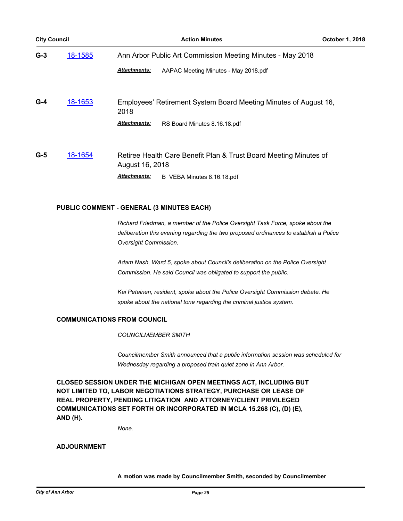| <b>City Council</b> |         | <b>Action Minutes</b>                                                                | <b>October 1, 2018</b> |  |
|---------------------|---------|--------------------------------------------------------------------------------------|------------------------|--|
| $G-3$               | 18-1585 | Ann Arbor Public Art Commission Meeting Minutes - May 2018                           |                        |  |
|                     |         | <b>Attachments:</b><br>AAPAC Meeting Minutes - May 2018.pdf                          |                        |  |
| $G-4$               | 18-1653 | Employees' Retirement System Board Meeting Minutes of August 16,<br>2018             |                        |  |
|                     |         | <b>Attachments:</b><br>RS Board Minutes 8.16.18.pdf                                  |                        |  |
| $G-5$               | 18-1654 | Retiree Health Care Benefit Plan & Trust Board Meeting Minutes of<br>August 16, 2018 |                        |  |
|                     |         | Attachments:<br>B VEBA Minutes 8.16.18.pdf                                           |                        |  |

# **PUBLIC COMMENT - GENERAL (3 MINUTES EACH)**

*Richard Friedman, a member of the Police Oversight Task Force, spoke about the deliberation this evening regarding the two proposed ordinances to establish a Police Oversight Commission.*

*Adam Nash, Ward 5, spoke about Council's deliberation on the Police Oversight Commission. He said Council was obligated to support the public.*

*Kai Petainen, resident, spoke about the Police Oversight Commission debate. He spoke about the national tone regarding the criminal justice system.*

# **COMMUNICATIONS FROM COUNCIL**

*COUNCILMEMBER SMITH*

*Councilmember Smith announced that a public information session was scheduled for Wednesday regarding a proposed train quiet zone in Ann Arbor.*

**CLOSED SESSION UNDER THE MICHIGAN OPEN MEETINGS ACT, INCLUDING BUT NOT LIMITED TO, LABOR NEGOTIATIONS STRATEGY, PURCHASE OR LEASE OF REAL PROPERTY, PENDING LITIGATION AND ATTORNEY/CLIENT PRIVILEGED COMMUNICATIONS SET FORTH OR INCORPORATED IN MCLA 15.268 (C), (D) (E), AND (H).**

*None.*

# **ADJOURNMENT**